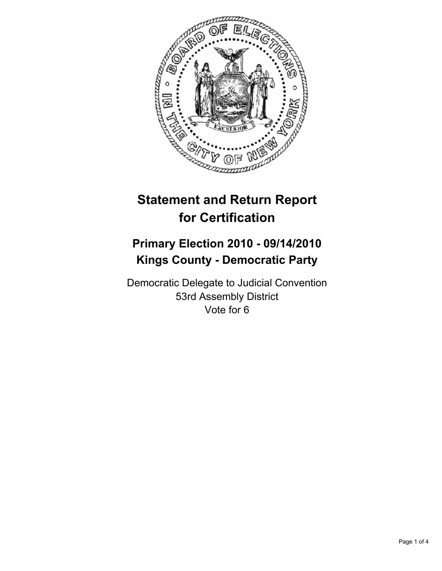

# **Statement and Return Report for Certification**

## **Primary Election 2010 - 09/14/2010 Kings County - Democratic Party**

Democratic Delegate to Judicial Convention 53rd Assembly District Vote for 6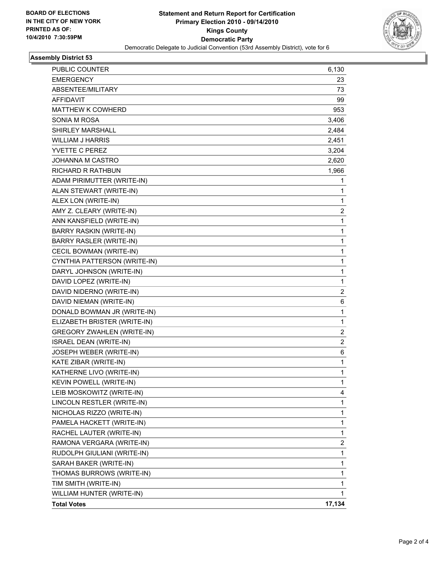

### **Assembly District 53**

| PUBLIC COUNTER                    | 6,130                   |
|-----------------------------------|-------------------------|
| <b>EMERGENCY</b>                  | 23                      |
| ABSENTEE/MILITARY                 | 73                      |
| AFFIDAVIT                         | 99                      |
| <b>MATTHEW K COWHERD</b>          | 953                     |
| SONIA M ROSA                      | 3,406                   |
| <b>SHIRLEY MARSHALL</b>           | 2,484                   |
| <b>WILLIAM J HARRIS</b>           | 2,451                   |
| YVETTE C PEREZ                    | 3,204                   |
| JOHANNA M CASTRO                  | 2,620                   |
| <b>RICHARD R RATHBUN</b>          | 1,966                   |
| ADAM PIRIMUTTER (WRITE-IN)        | 1                       |
| ALAN STEWART (WRITE-IN)           | 1                       |
| ALEX LON (WRITE-IN)               | 1                       |
| AMY Z. CLEARY (WRITE-IN)          | $\overline{\mathbf{c}}$ |
| ANN KANSFIELD (WRITE-IN)          | 1                       |
| BARRY RASKIN (WRITE-IN)           | 1                       |
| <b>BARRY RASLER (WRITE-IN)</b>    | 1                       |
| CECIL BOWMAN (WRITE-IN)           | 1                       |
| CYNTHIA PATTERSON (WRITE-IN)      | $\mathbf{1}$            |
| DARYL JOHNSON (WRITE-IN)          | 1                       |
| DAVID LOPEZ (WRITE-IN)            | 1                       |
| DAVID NIDERNO (WRITE-IN)          | 2                       |
| DAVID NIEMAN (WRITE-IN)           | 6                       |
| DONALD BOWMAN JR (WRITE-IN)       | 1                       |
| ELIZABETH BRISTER (WRITE-IN)      | $\mathbf{1}$            |
| <b>GREGORY ZWAHLEN (WRITE-IN)</b> | $\overline{\mathbf{c}}$ |
| ISRAEL DEAN (WRITE-IN)            | $\overline{2}$          |
| JOSEPH WEBER (WRITE-IN)           | 6                       |
| KATE ZIBAR (WRITE-IN)             | 1                       |
| KATHERNE LIVO (WRITE-IN)          | 1                       |
| KEVIN POWELL (WRITE-IN)           | $\mathbf{1}$            |
| LEIB MOSKOWITZ (WRITE-IN)         | 4                       |
| LINCOLN RESTLER (WRITE-IN)        | 1                       |
| NICHOLAS RIZZO (WRITE-IN)         | 1                       |
| PAMELA HACKETT (WRITE-IN)         | 1                       |
| RACHEL LAUTER (WRITE-IN)          | 1                       |
| RAMONA VERGARA (WRITE-IN)         | 2                       |
| RUDOLPH GIULIANI (WRITE-IN)       | 1                       |
| SARAH BAKER (WRITE-IN)            | 1                       |
| THOMAS BURROWS (WRITE-IN)         | 1                       |
| TIM SMITH (WRITE-IN)              | 1                       |
| WILLIAM HUNTER (WRITE-IN)         | 1                       |
| <b>Total Votes</b>                | 17,134                  |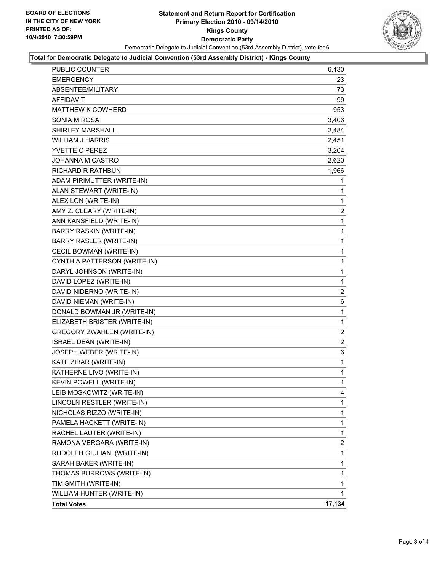

#### **Total for Democratic Delegate to Judicial Convention (53rd Assembly District) - Kings County**

| PUBLIC COUNTER                    | 6,130                   |
|-----------------------------------|-------------------------|
| <b>EMERGENCY</b>                  | 23                      |
| ABSENTEE/MILITARY                 | 73                      |
| <b>AFFIDAVIT</b>                  | 99                      |
| <b>MATTHEW K COWHERD</b>          | 953                     |
| SONIA M ROSA                      | 3,406                   |
| <b>SHIRLEY MARSHALL</b>           | 2,484                   |
| <b>WILLIAM J HARRIS</b>           | 2,451                   |
| YVETTE C PEREZ                    | 3,204                   |
| JOHANNA M CASTRO                  | 2,620                   |
| RICHARD R RATHBUN                 | 1,966                   |
| ADAM PIRIMUTTER (WRITE-IN)        | 1                       |
| ALAN STEWART (WRITE-IN)           | 1                       |
| ALEX LON (WRITE-IN)               | 1                       |
| AMY Z. CLEARY (WRITE-IN)          | $\overline{\mathbf{c}}$ |
| ANN KANSFIELD (WRITE-IN)          | 1                       |
| BARRY RASKIN (WRITE-IN)           | 1                       |
| <b>BARRY RASLER (WRITE-IN)</b>    | 1                       |
| CECIL BOWMAN (WRITE-IN)           | 1                       |
| CYNTHIA PATTERSON (WRITE-IN)      | 1                       |
| DARYL JOHNSON (WRITE-IN)          | 1                       |
| DAVID LOPEZ (WRITE-IN)            | 1                       |
| DAVID NIDERNO (WRITE-IN)          | $\overline{2}$          |
| DAVID NIEMAN (WRITE-IN)           | 6                       |
| DONALD BOWMAN JR (WRITE-IN)       | 1                       |
| ELIZABETH BRISTER (WRITE-IN)      | 1                       |
| <b>GREGORY ZWAHLEN (WRITE-IN)</b> | $\overline{2}$          |
| ISRAEL DEAN (WRITE-IN)            | 2                       |
| JOSEPH WEBER (WRITE-IN)           | 6                       |
| KATE ZIBAR (WRITE-IN)             | $\mathbf 1$             |
| KATHERNE LIVO (WRITE-IN)          | 1                       |
| KEVIN POWELL (WRITE-IN)           | 1                       |
| LEIB MOSKOWITZ (WRITE-IN)         | 4                       |
| LINCOLN RESTLER (WRITE-IN)        | 1                       |
| NICHOLAS RIZZO (WRITE-IN)         | 1                       |
| PAMELA HACKETT (WRITE-IN)         | 1                       |
| RACHEL LAUTER (WRITE-IN)          | 1                       |
| RAMONA VERGARA (WRITE-IN)         | $\overline{2}$          |
| RUDOLPH GIULIANI (WRITE-IN)       | 1                       |
| SARAH BAKER (WRITE-IN)            | 1                       |
| THOMAS BURROWS (WRITE-IN)         | 1                       |
| TIM SMITH (WRITE-IN)              | 1                       |
| WILLIAM HUNTER (WRITE-IN)         | 1                       |
| <b>Total Votes</b>                | 17,134                  |
|                                   |                         |